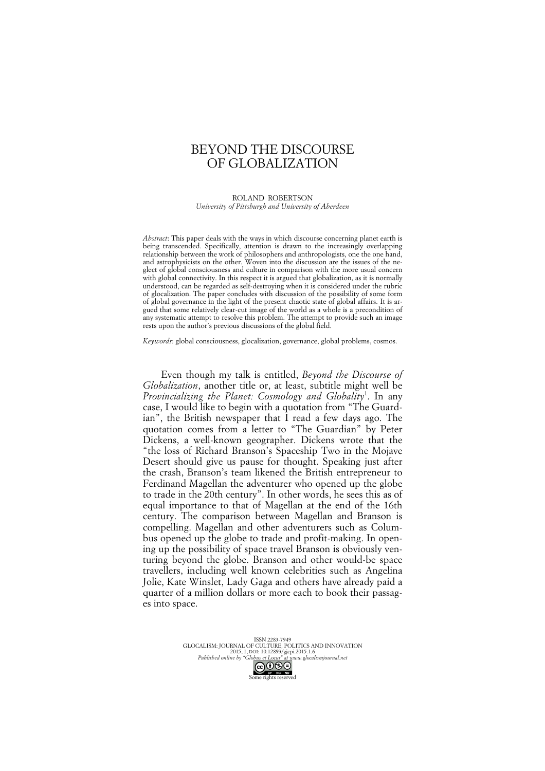# BEYOND THE DISCOURSE OF GLOBALIZATION

ROLAND ROBERTSON *University of Pittsburgh and University of Aberdeen*

*Abstract*: This paper deals with the ways in which discourse concerning planet earth is being transcended. Specifically, attention is drawn to the increasingly overlapping relationship between the work of philosophers and anthropologists, one the one hand, and astrophysicists on the other. Woven into the discussion are the issues of the neglect of global consciousness and culture in comparison with the more usual concern with global connectivity. In this respect it is argued that globalization, as it is normally understood, can be regarded as self-destroying when it is considered under the rubric of glocalization. The paper concludes with discussion of the possibility of some form of global governance in the light of the present chaotic state of global affairs. It is argued that some relatively clear-cut image of the world as a whole is a precondition of any systematic attempt to resolve this problem. The attempt to provide such an image rests upon the author's previous discussions of the global field.

*Keywords*: global consciousness, glocalization, governance, global problems, cosmos.

Even though my talk is entitled, *Beyond the Discourse of Globalization*, another title or, at least, subtitle might well be *Provincializing the Planet: Cosmology and Globality*<sup>1</sup> . In any case, I would like to begin with a quotation from "The Guardian", the British newspaper that  $\overline{I}$  read a few days ago. The quotation comes from a letter to "The Guardian" by Peter Dickens, a well-known geographer. Dickens wrote that the "the loss of Richard Branson's Spaceship Two in the Mojave Desert should give us pause for thought. Speaking just after the crash, Branson's team likened the British entrepreneur to Ferdinand Magellan the adventurer who opened up the globe to trade in the 20th century". In other words, he sees this as of equal importance to that of Magellan at the end of the 16th century. The comparison between Magellan and Branson is compelling. Magellan and other adventurers such as Columbus opened up the globe to trade and profit-making. In opening up the possibility of space travel Branson is obviously venturing beyond the globe. Branson and other would-be space travellers, including well known celebrities such as Angelina Jolie, Kate Winslet, Lady Gaga and others have already paid a quarter of a million dollars or more each to book their passages into space.

> ISSN 2283-7949 ESSIN 2265-1747<br>GLOCALISM: JOURNAL OF CULTURE, POLITICS AND INNOVATION 2015, 1, DOI: 10.12893/gjcpi.2015.1.6<br>Published online by "Globus et Locus" at www.glocal *Published online by "Globus et Locus" at www.glocalismjournal.net*

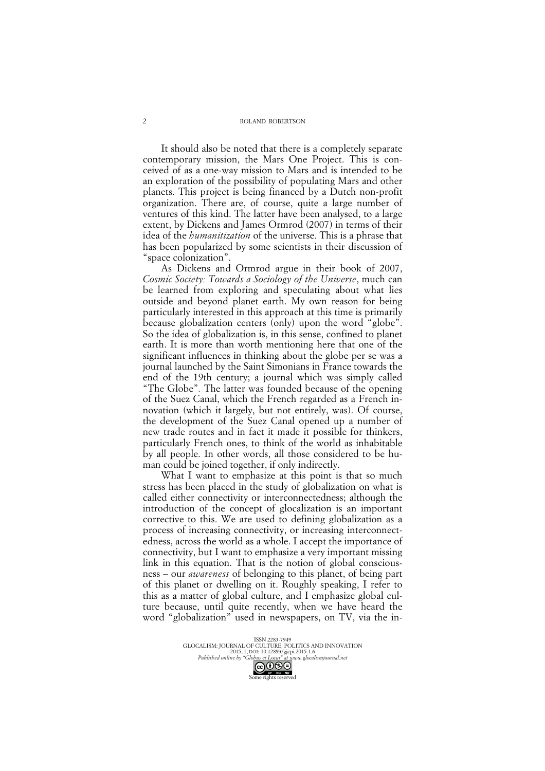#### ROLAND ROBERTSON

It should also be noted that there is a completely separate contemporary mission, the Mars One Project. This is conceived of as a one-way mission to Mars and is intended to be an exploration of the possibility of populating Mars and other planets. This project is being financed by a Dutch non-profit organization. There are, of course, quite a large number of ventures of this kind. The latter have been analysed, to a large extent, by Dickens and James Ormrod (2007) in terms of their idea of the *humanitization* of the universe. This is a phrase that has been popularized by some scientists in their discussion of "space colonization".

As Dickens and Ormrod argue in their book of 2007, *Cosmic Society: Towards a Sociology of the Universe*, much can be learned from exploring and speculating about what lies outside and beyond planet earth. My own reason for being particularly interested in this approach at this time is primarily because globalization centers (only) upon the word "globe". So the idea of globalization is, in this sense, confined to planet earth. It is more than worth mentioning here that one of the significant influences in thinking about the globe per se was a journal launched by the Saint Simonians in France towards the end of the 19th century; a journal which was simply called "The Globe"*.* The latter was founded because of the opening of the Suez Canal, which the French regarded as a French innovation (which it largely, but not entirely, was). Of course, the development of the Suez Canal opened up a number of new trade routes and in fact it made it possible for thinkers, particularly French ones, to think of the world as inhabitable by all people. In other words, all those considered to be human could be joined together, if only indirectly.

What I want to emphasize at this point is that so much stress has been placed in the study of globalization on what is called either connectivity or interconnectedness; although the introduction of the concept of glocalization is an important corrective to this. We are used to defining globalization as a process of increasing connectivity, or increasing interconnectedness, across the world as a whole. I accept the importance of connectivity, but I want to emphasize a very important missing link in this equation. That is the notion of global consciousness – our *awareness* of belonging to this planet, of being part of this planet or dwelling on it. Roughly speaking, I refer to this as a matter of global culture, and I emphasize global culture because, until quite recently, when we have heard the word "globalization" used in newspapers, on TV, via the in-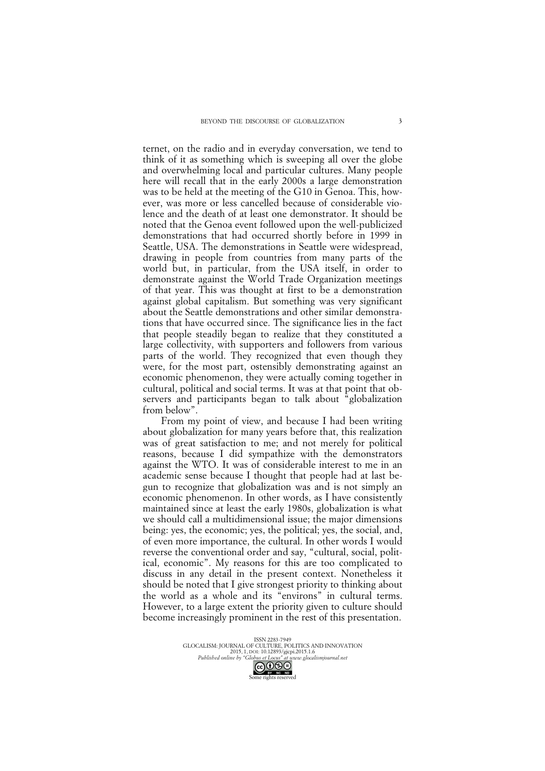ternet, on the radio and in everyday conversation, we tend to think of it as something which is sweeping all over the globe and overwhelming local and particular cultures. Many people here will recall that in the early 2000s a large demonstration was to be held at the meeting of the G10 in Genoa. This, however, was more or less cancelled because of considerable violence and the death of at least one demonstrator. It should be noted that the Genoa event followed upon the well-publicized demonstrations that had occurred shortly before in 1999 in Seattle, USA. The demonstrations in Seattle were widespread, drawing in people from countries from many parts of the world but, in particular, from the USA itself, in order to demonstrate against the World Trade Organization meetings of that year. This was thought at first to be a demonstration against global capitalism. But something was very significant about the Seattle demonstrations and other similar demonstrations that have occurred since. The significance lies in the fact that people steadily began to realize that they constituted a large collectivity, with supporters and followers from various parts of the world. They recognized that even though they were, for the most part, ostensibly demonstrating against an economic phenomenon, they were actually coming together in cultural, political and social terms. It was at that point that observers and participants began to talk about "globalization from below".

From my point of view, and because I had been writing about globalization for many years before that, this realization was of great satisfaction to me; and not merely for political reasons, because I did sympathize with the demonstrators against the WTO. It was of considerable interest to me in an academic sense because I thought that people had at last begun to recognize that globalization was and is not simply an economic phenomenon. In other words, as I have consistently maintained since at least the early 1980s, globalization is what we should call a multidimensional issue; the major dimensions being: yes, the economic; yes, the political; yes, the social, and, of even more importance, the cultural. In other words I would reverse the conventional order and say, "cultural, social, political, economic". My reasons for this are too complicated to discuss in any detail in the present context. Nonetheless it should be noted that I give strongest priority to thinking about the world as a whole and its "environs" in cultural terms. However, to a large extent the priority given to culture should become increasingly prominent in the rest of this presentation.

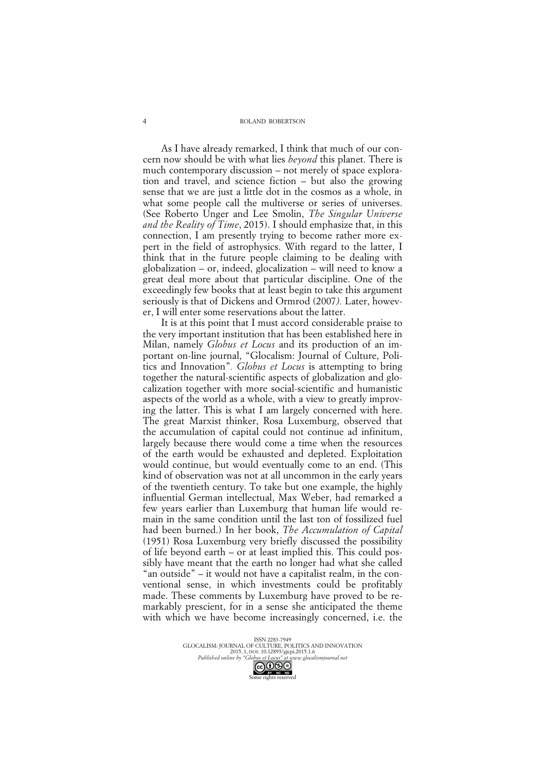#### ROLAND ROBERTSON

As I have already remarked, I think that much of our concern now should be with what lies *beyond* this planet. There is much contemporary discussion – not merely of space exploration and travel, and science fiction – but also the growing sense that we are just a little dot in the cosmos as a whole, in what some people call the multiverse or series of universes. (See Roberto Unger and Lee Smolin, *The Singular Universe and the Reality of Time*, 2015). I should emphasize that, in this connection, I am presently trying to become rather more expert in the field of astrophysics. With regard to the latter, I think that in the future people claiming to be dealing with globalization – or, indeed, glocalization – will need to know a great deal more about that particular discipline. One of the exceedingly few books that at least begin to take this argument seriously is that of Dickens and Ormrod (2007*).* Later, however, I will enter some reservations about the latter.

It is at this point that I must accord considerable praise to the very important institution that has been established here in Milan, namely *Globus et Locus* and its production of an important on-line journal, "Glocalism: Journal of Culture, Politics and Innovation"*. Globus et Locus* is attempting to bring together the natural-scientific aspects of globalization and glocalization together with more social-scientific and humanistic aspects of the world as a whole, with a view to greatly improving the latter. This is what I am largely concerned with here. The great Marxist thinker, Rosa Luxemburg, observed that the accumulation of capital could not continue ad infinitum, largely because there would come a time when the resources of the earth would be exhausted and depleted. Exploitation would continue, but would eventually come to an end. (This kind of observation was not at all uncommon in the early years of the twentieth century. To take but one example, the highly influential German intellectual, Max Weber, had remarked a few years earlier than Luxemburg that human life would remain in the same condition until the last ton of fossilized fuel had been burned.) In her book, *The Accumulation of Capital* (1951) Rosa Luxemburg very briefly discussed the possibility of life beyond earth – or at least implied this. This could possibly have meant that the earth no longer had what she called "an outside" – it would not have a capitalist realm, in the conventional sense, in which investments could be profitably made. These comments by Luxemburg have proved to be remarkably prescient, for in a sense she anticipated the theme with which we have become increasingly concerned, i.e. the

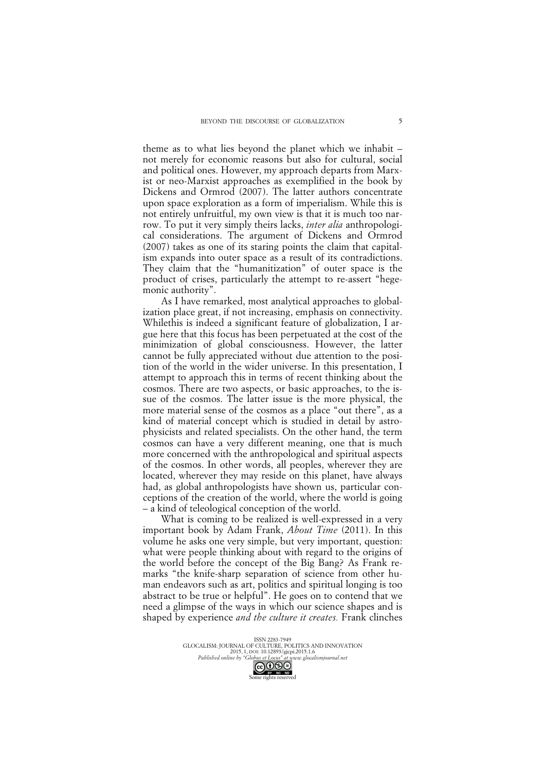theme as to what lies beyond the planet which we inhabit – not merely for economic reasons but also for cultural, social and political ones. However, my approach departs from Marxist or neo-Marxist approaches as exemplified in the book by Dickens and Ormrod (2007). The latter authors concentrate upon space exploration as a form of imperialism. While this is not entirely unfruitful, my own view is that it is much too narrow. To put it very simply theirs lacks, *inter alia* anthropological considerations. The argument of Dickens and Ormrod (2007) takes as one of its staring points the claim that capitalism expands into outer space as a result of its contradictions. They claim that the "humanitization" of outer space is the product of crises, particularly the attempt to re-assert "hegemonic authority".

As I have remarked, most analytical approaches to globalization place great, if not increasing, emphasis on connectivity. Whilethis is indeed a significant feature of globalization, I argue here that this focus has been perpetuated at the cost of the minimization of global consciousness. However, the latter cannot be fully appreciated without due attention to the position of the world in the wider universe. In this presentation, I attempt to approach this in terms of recent thinking about the cosmos. There are two aspects, or basic approaches, to the issue of the cosmos. The latter issue is the more physical, the more material sense of the cosmos as a place "out there", as a kind of material concept which is studied in detail by astrophysicists and related specialists. On the other hand, the term cosmos can have a very different meaning, one that is much more concerned with the anthropological and spiritual aspects of the cosmos. In other words, all peoples, wherever they are located, wherever they may reside on this planet, have always had, as global anthropologists have shown us, particular conceptions of the creation of the world, where the world is going – a kind of teleological conception of the world.

What is coming to be realized is well-expressed in a very important book by Adam Frank, *About Time* (2011). In this volume he asks one very simple, but very important, question: what were people thinking about with regard to the origins of the world before the concept of the Big Bang? As Frank remarks "the knife-sharp separation of science from other human endeavors such as art, politics and spiritual longing is too abstract to be true or helpful". He goes on to contend that we need a glimpse of the ways in which our science shapes and is shaped by experience *and the culture it creates.* Frank clinches



5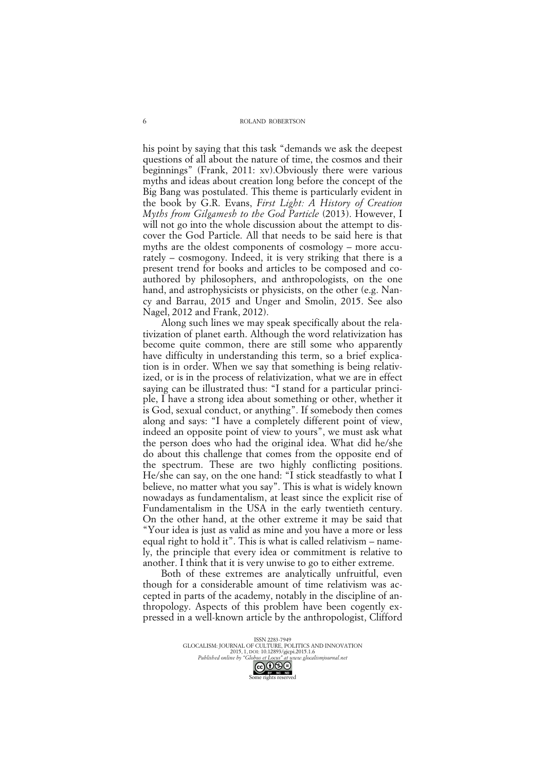his point by saying that this task "demands we ask the deepest questions of all about the nature of time, the cosmos and their beginnings" (Frank, 2011: xv).Obviously there were various myths and ideas about creation long before the concept of the Big Bang was postulated. This theme is particularly evident in the book by G.R. Evans, *First Light: A History of Creation Myths from Gilgamesh to the God Particle* (2013). However, I will not go into the whole discussion about the attempt to discover the God Particle. All that needs to be said here is that myths are the oldest components of cosmology – more accurately – cosmogony. Indeed, it is very striking that there is a present trend for books and articles to be composed and coauthored by philosophers, and anthropologists, on the one hand, and astrophysicists or physicists, on the other (e.g. Nancy and Barrau, 2015 and Unger and Smolin, 2015. See also Nagel, 2012 and Frank, 2012).

Along such lines we may speak specifically about the relativization of planet earth. Although the word relativization has become quite common, there are still some who apparently have difficulty in understanding this term, so a brief explication is in order. When we say that something is being relativized, or is in the process of relativization, what we are in effect saying can be illustrated thus: "I stand for a particular principle, I have a strong idea about something or other, whether it is God, sexual conduct, or anything". If somebody then comes along and says: "I have a completely different point of view, indeed an opposite point of view to yours", we must ask what the person does who had the original idea. What did he/she do about this challenge that comes from the opposite end of the spectrum. These are two highly conflicting positions. He/she can say, on the one hand: "I stick steadfastly to what I believe, no matter what you say". This is what is widely known nowadays as fundamentalism, at least since the explicit rise of Fundamentalism in the USA in the early twentieth century. On the other hand, at the other extreme it may be said that "Your idea is just as valid as mine and you have a more or less equal right to hold it". This is what is called relativism – namely, the principle that every idea or commitment is relative to another. I think that it is very unwise to go to either extreme.

Both of these extremes are analytically unfruitful, even though for a considerable amount of time relativism was accepted in parts of the academy, notably in the discipline of anthropology. Aspects of this problem have been cogently expressed in a well-known article by the anthropologist, Clifford

> ISSN 2283-7949 GLOCALISM: JOURNAL OF CULTURE, POLITICS AND INNOVATION 2015, 1, DOI: 10.12893/gjcpi.2015.1.6 *Published online by "Globus et Locus" at www.glocalismjournal.net*

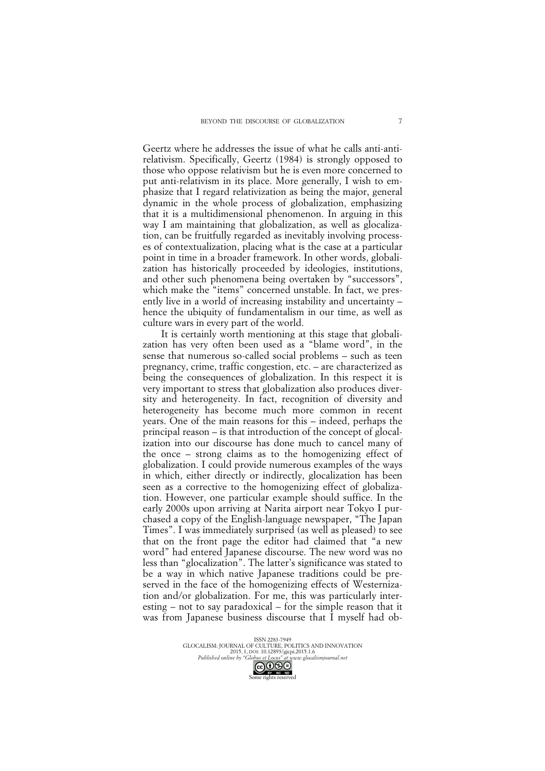Geertz where he addresses the issue of what he calls anti-antirelativism. Specifically, Geertz (1984) is strongly opposed to those who oppose relativism but he is even more concerned to put anti-relativism in its place. More generally, I wish to emphasize that I regard relativization as being the major, general dynamic in the whole process of globalization, emphasizing that it is a multidimensional phenomenon. In arguing in this way I am maintaining that globalization, as well as glocalization, can be fruitfully regarded as inevitably involving processes of contextualization, placing what is the case at a particular point in time in a broader framework. In other words, globalization has historically proceeded by ideologies, institutions, and other such phenomena being overtaken by "successors", which make the "items" concerned unstable. In fact, we presently live in a world of increasing instability and uncertainty – hence the ubiquity of fundamentalism in our time, as well as culture wars in every part of the world.

It is certainly worth mentioning at this stage that globalization has very often been used as a "blame word", in the sense that numerous so-called social problems – such as teen pregnancy, crime, traffic congestion, etc. – are characterized as being the consequences of globalization. In this respect it is very important to stress that globalization also produces diversity and heterogeneity. In fact, recognition of diversity and heterogeneity has become much more common in recent years. One of the main reasons for this – indeed, perhaps the principal reason – is that introduction of the concept of glocalization into our discourse has done much to cancel many of the once – strong claims as to the homogenizing effect of globalization. I could provide numerous examples of the ways in which, either directly or indirectly, glocalization has been seen as a corrective to the homogenizing effect of globalization. However, one particular example should suffice. In the early 2000s upon arriving at Narita airport near Tokyo I purchased a copy of the English-language newspaper, "The Japan Times". I was immediately surprised (as well as pleased) to see that on the front page the editor had claimed that "a new word" had entered Japanese discourse. The new word was no less than "glocalization". The latter's significance was stated to be a way in which native Japanese traditions could be preserved in the face of the homogenizing effects of Westernization and/or globalization. For me, this was particularly interesting – not to say paradoxical – for the simple reason that it was from Japanese business discourse that I myself had ob-

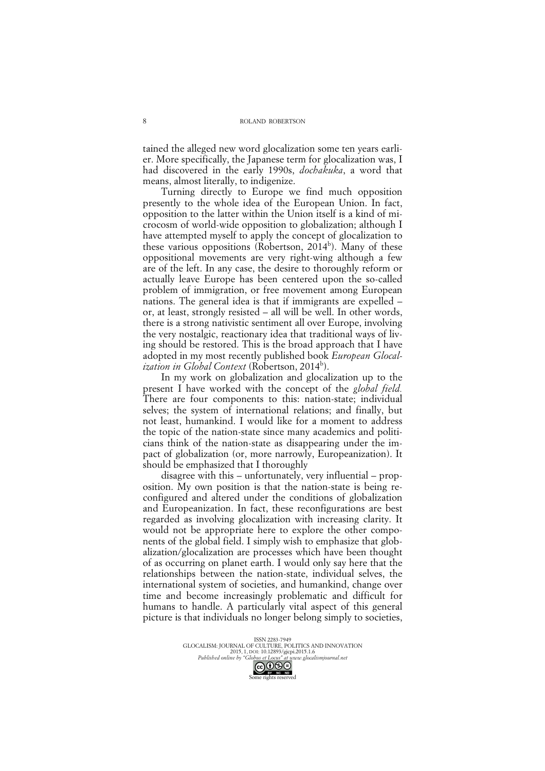tained the alleged new word glocalization some ten years earlier. More specifically, the Japanese term for glocalization was, I had discovered in the early 1990s, *dochakuka*, a word that means, almost literally, to indigenize.

Turning directly to Europe we find much opposition presently to the whole idea of the European Union. In fact, opposition to the latter within the Union itself is a kind of microcosm of world-wide opposition to globalization; although I have attempted myself to apply the concept of glocalization to these various oppositions (Robertson, 2014<sup>b</sup>). Many of these oppositional movements are very right-wing although a few are of the left. In any case, the desire to thoroughly reform or actually leave Europe has been centered upon the so-called problem of immigration, or free movement among European nations. The general idea is that if immigrants are expelled – or, at least, strongly resisted – all will be well. In other words, there is a strong nativistic sentiment all over Europe, involving the very nostalgic, reactionary idea that traditional ways of living should be restored. This is the broad approach that I have adopted in my most recently published book *European Glocalization in Global Context* (Robertson, 2014<sup>b</sup>).

In my work on globalization and glocalization up to the present I have worked with the concept of the *global field.* There are four components to this: nation-state; individual selves; the system of international relations; and finally, but not least, humankind. I would like for a moment to address the topic of the nation-state since many academics and politicians think of the nation-state as disappearing under the impact of globalization (or, more narrowly, Europeanization). It should be emphasized that I thoroughly

disagree with this – unfortunately, very influential – proposition. My own position is that the nation-state is being reconfigured and altered under the conditions of globalization and Europeanization. In fact, these reconfigurations are best regarded as involving glocalization with increasing clarity. It would not be appropriate here to explore the other components of the global field. I simply wish to emphasize that globalization/glocalization are processes which have been thought of as occurring on planet earth. I would only say here that the relationships between the nation-state, individual selves, the international system of societies, and humankind, change over time and become increasingly problematic and difficult for humans to handle. A particularly vital aspect of this general picture is that individuals no longer belong simply to societies,

> ISSN 2283-7949 GLOCALISM: JOURNAL OF CULTURE, POLITICS AND INNOVATION 2015, 1, DOI: 10.12893/gjcpi.2015.1.6 *Published online by "Globus et Locus" at www.glocalismjournal.net* Some rights reserved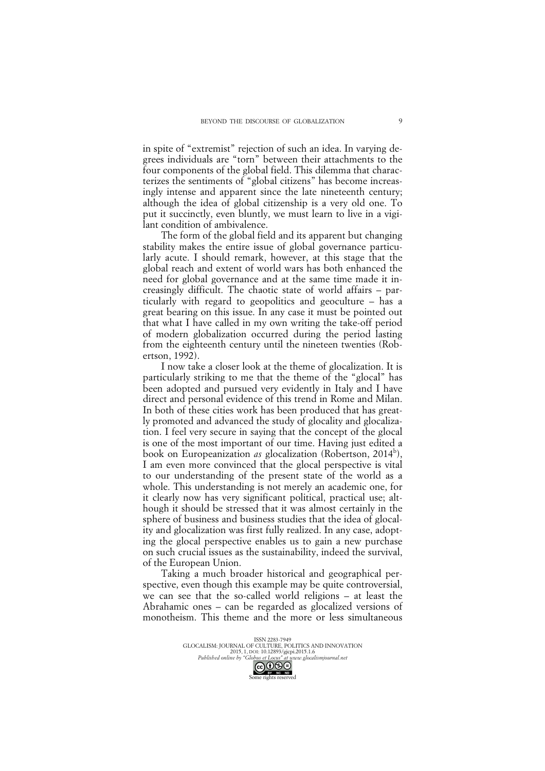in spite of "extremist" rejection of such an idea. In varying degrees individuals are "torn" between their attachments to the four components of the global field. This dilemma that characterizes the sentiments of "global citizens" has become increasingly intense and apparent since the late nineteenth century; although the idea of global citizenship is a very old one. To put it succinctly, even bluntly, we must learn to live in a vigilant condition of ambivalence.

The form of the global field and its apparent but changing stability makes the entire issue of global governance particularly acute. I should remark, however, at this stage that the global reach and extent of world wars has both enhanced the need for global governance and at the same time made it increasingly difficult. The chaotic state of world affairs – particularly with regard to geopolitics and geoculture – has a great bearing on this issue. In any case it must be pointed out that what I have called in my own writing the take-off period of modern globalization occurred during the period lasting from the eighteenth century until the nineteen twenties (Robertson, 1992).

I now take a closer look at the theme of glocalization. It is particularly striking to me that the theme of the "glocal" has been adopted and pursued very evidently in Italy and I have direct and personal evidence of this trend in Rome and Milan. In both of these cities work has been produced that has greatly promoted and advanced the study of glocality and glocalization. I feel very secure in saying that the concept of the glocal is one of the most important of our time. Having just edited a book on Europeanization *as* glocalization (Robertson, 2014<sup>b</sup>), I am even more convinced that the glocal perspective is vital to our understanding of the present state of the world as a whole. This understanding is not merely an academic one, for it clearly now has very significant political, practical use; although it should be stressed that it was almost certainly in the sphere of business and business studies that the idea of glocality and glocalization was first fully realized. In any case, adopting the glocal perspective enables us to gain a new purchase on such crucial issues as the sustainability, indeed the survival, of the European Union.

Taking a much broader historical and geographical perspective, even though this example may be quite controversial, we can see that the so-called world religions – at least the Abrahamic ones – can be regarded as glocalized versions of monotheism. This theme and the more or less simultaneous

> ISSN 2283-7949 GLOCALISM: JOURNAL OF CULTURE, POLITICS AND INNOVATION 2015, 1, DOI: 10.12893/gjcpi.2015.1.6 *Published online by "Globus et Locus" at www.glocalismjournal.net* Some rights reserved<br>Some rights reserved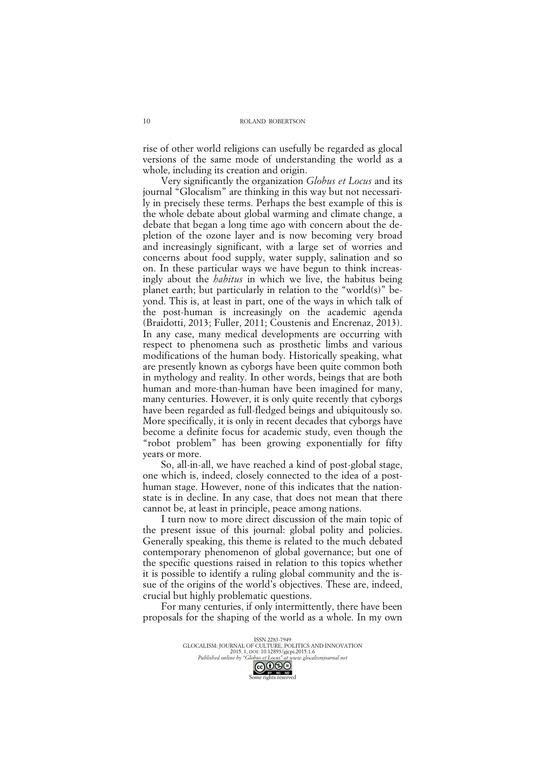rise of other world religions can usefully be regarded as glocal versions of the same mode of understanding the world as a whole, including its creation and origin.

Very significantly the organization *Globus et Locus* and its journal "Glocalism" are thinking in this way but not necessarily in precisely these terms. Perhaps the best example of this is the whole debate about global warming and climate change, a debate that began a long time ago with concern about the depletion of the ozone layer and is now becoming very broad and increasingly significant, with a large set of worries and concerns about food supply, water supply, salination and so on. In these particular ways we have begun to think increasingly about the *habitus* in which we live, the habitus being planet earth; but particularly in relation to the "world(s)" beyond. This is, at least in part, one of the ways in which talk of the post-human is increasingly on the academic agenda (Braidotti, 2013; Fuller, 2011; Coustenis and Encrenaz, 2013). In any case, many medical developments are occurring with respect to phenomena such as prosthetic limbs and various modifications of the human body. Historically speaking, what are presently known as cyborgs have been quite common both in mythology and reality. In other words, beings that are both human and more-than-human have been imagined for many, many centuries. However, it is only quite recently that cyborgs have been regarded as full-fledged beings and ubiquitously so. More specifically, it is only in recent decades that cyborgs have become a definite focus for academic study, even though the "robot problem" has been growing exponentially for fifty years or more.

So, all-in-all, we have reached a kind of post-global stage, one which is, indeed, closely connected to the idea of a posthuman stage. However, none of this indicates that the nationstate is in decline. In any case, that does not mean that there cannot be, at least in principle, peace among nations.

I turn now to more direct discussion of the main topic of the present issue of this journal: global polity and policies. Generally speaking, this theme is related to the much debated contemporary phenomenon of global governance; but one of the specific questions raised in relation to this topics whether it is possible to identify a ruling global community and the issue of the origins of the world's objectives. These are, indeed, crucial but highly problematic questions.

For many centuries, if only intermittently, there have been proposals for the shaping of the world as a whole. In my own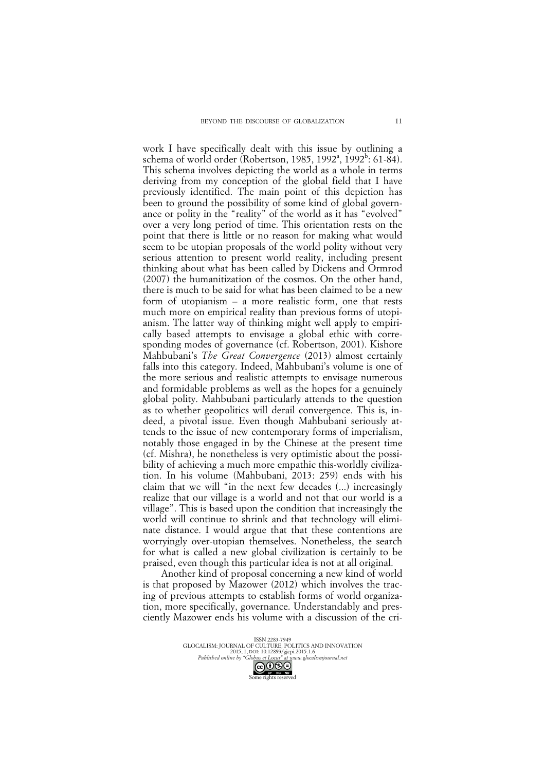work I have specifically dealt with this issue by outlining a schema of world order (Robertson, 1985, 1992ª, 1992<sup>b</sup>: 61-84). This schema involves depicting the world as a whole in terms deriving from my conception of the global field that I have previously identified. The main point of this depiction has been to ground the possibility of some kind of global governance or polity in the "reality" of the world as it has "evolved" over a very long period of time. This orientation rests on the point that there is little or no reason for making what would seem to be utopian proposals of the world polity without very serious attention to present world reality, including present thinking about what has been called by Dickens and Ormrod (2007) the humanitization of the cosmos. On the other hand, there is much to be said for what has been claimed to be a new form of utopianism – a more realistic form, one that rests much more on empirical reality than previous forms of utopianism. The latter way of thinking might well apply to empirically based attempts to envisage a global ethic with corresponding modes of governance (cf. Robertson, 2001). Kishore Mahbubani's *The Great Convergence* (2013) almost certainly falls into this category. Indeed, Mahbubani's volume is one of the more serious and realistic attempts to envisage numerous and formidable problems as well as the hopes for a genuinely global polity. Mahbubani particularly attends to the question as to whether geopolitics will derail convergence. This is, indeed, a pivotal issue. Even though Mahbubani seriously attends to the issue of new contemporary forms of imperialism, notably those engaged in by the Chinese at the present time (cf. Mishra), he nonetheless is very optimistic about the possibility of achieving a much more empathic this-worldly civilization. In his volume (Mahbubani, 2013: 259) ends with his claim that we will "in the next few decades (...) increasingly realize that our village is a world and not that our world is a village". This is based upon the condition that increasingly the world will continue to shrink and that technology will eliminate distance. I would argue that that these contentions are worryingly over-utopian themselves. Nonetheless, the search for what is called a new global civilization is certainly to be praised, even though this particular idea is not at all original.

Another kind of proposal concerning a new kind of world is that proposed by Mazower (2012) which involves the tracing of previous attempts to establish forms of world organization, more specifically, governance. Understandably and presciently Mazower ends his volume with a discussion of the cri-

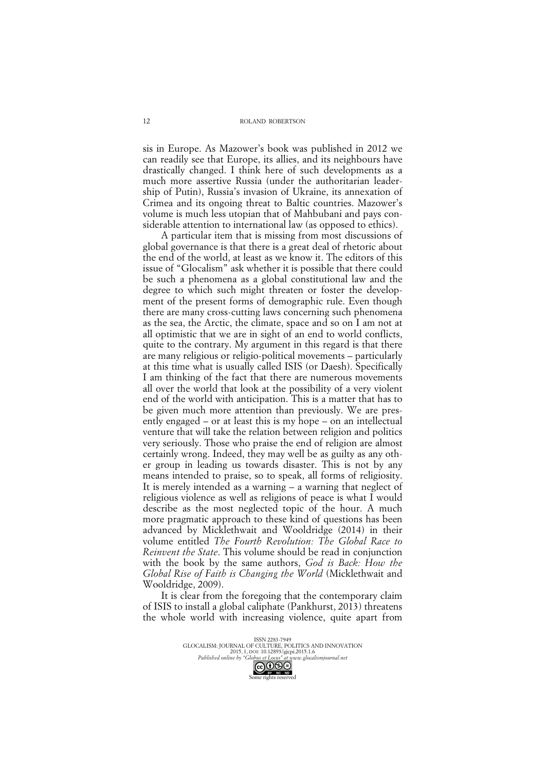sis in Europe. As Mazower's book was published in 2012 we can readily see that Europe, its allies, and its neighbours have drastically changed. I think here of such developments as a much more assertive Russia (under the authoritarian leadership of Putin), Russia's invasion of Ukraine, its annexation of Crimea and its ongoing threat to Baltic countries. Mazower's volume is much less utopian that of Mahbubani and pays considerable attention to international law (as opposed to ethics).

A particular item that is missing from most discussions of global governance is that there is a great deal of rhetoric about the end of the world, at least as we know it. The editors of this issue of "Glocalism" ask whether it is possible that there could be such a phenomena as a global constitutional law and the degree to which such might threaten or foster the development of the present forms of demographic rule. Even though there are many cross-cutting laws concerning such phenomena as the sea, the Arctic, the climate, space and so on I am not at all optimistic that we are in sight of an end to world conflicts, quite to the contrary. My argument in this regard is that there are many religious or religio-political movements – particularly at this time what is usually called ISIS (or Daesh). Specifically I am thinking of the fact that there are numerous movements all over the world that look at the possibility of a very violent end of the world with anticipation. This is a matter that has to be given much more attention than previously. We are presently engaged – or at least this is my hope – on an intellectual venture that will take the relation between religion and politics very seriously. Those who praise the end of religion are almost certainly wrong. Indeed, they may well be as guilty as any other group in leading us towards disaster. This is not by any means intended to praise, so to speak, all forms of religiosity. It is merely intended as a warning – a warning that neglect of religious violence as well as religions of peace is what I would describe as the most neglected topic of the hour. A much more pragmatic approach to these kind of questions has been advanced by Micklethwait and Wooldridge (2014) in their volume entitled *The Fourth Revolution: The Global Race to Reinvent the State*. This volume should be read in conjunction with the book by the same authors, *God is Back: How the Global Rise of Faith is Changing the World* (Micklethwait and Wooldridge, 2009).

It is clear from the foregoing that the contemporary claim of ISIS to install a global caliphate (Pankhurst, 2013) threatens the whole world with increasing violence, quite apart from

> ISSN 2283-7949 GLOCALISM: JOURNAL OF CULTURE, POLITICS AND INNOVATION 2015, 1, DOI: 10.12893/gjcpi.2015.1.6 *Published online by "Globus et Locus" at www.glocalismjournal.net*

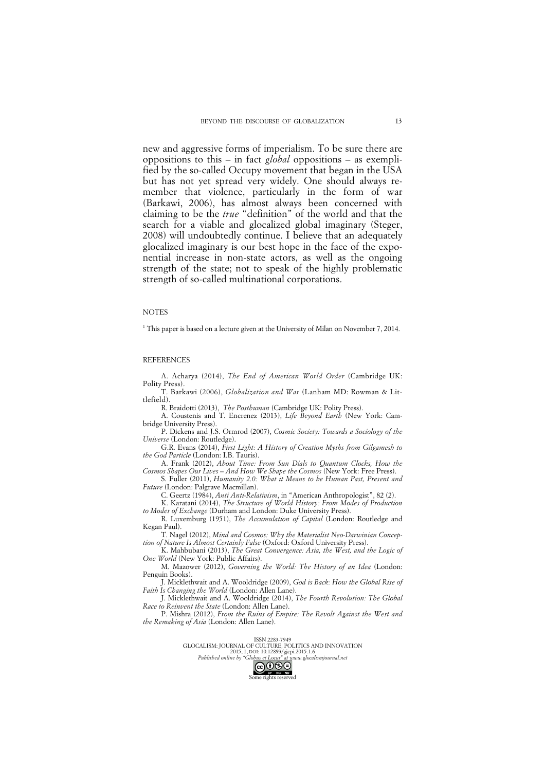new and aggressive forms of imperialism. To be sure there are oppositions to this – in fact *global* oppositions – as exemplified by the so-called Occupy movement that began in the USA but has not yet spread very widely. One should always remember that violence, particularly in the form of war (Barkawi, 2006), has almost always been concerned with claiming to be the *true* "definition" of the world and that the search for a viable and glocalized global imaginary (Steger, 2008) will undoubtedly continue. I believe that an adequately glocalized imaginary is our best hope in the face of the exponential increase in non-state actors, as well as the ongoing strength of the state; not to speak of the highly problematic strength of so-called multinational corporations.

#### **NOTES**

<sup>1</sup> This paper is based on a lecture given at the University of Milan on November 7, 2014.

### REFERENCES

A. Acharya (2014), *The End of American World Order* (Cambridge UK: Polity Press).

T. Barkawi (2006), *Globalization and War* (Lanham MD: Rowman & Littlefield).

R. Braidotti (2013), *The Posthuman* (Cambridge UK: Polity Press).

A. Coustenis and T. Encrenez (2013), *Life Beyond Earth* (New York: Cambridge University Press).

P. Dickens and J.S. Ormrod (2007), *Cosmic Society: Towards a Sociology of the Universe* (London: Routledge).

G.R. Evans (2014), *First Light: A History of Creation Myths from Gilgamesh to the God Particle* (London: I.B. Tauris).

A. Frank (2012), *About Time: From Sun Dials to Quantum Clocks, How the Cosmos Shapes Our Lives – And How We Shape the Cosmos* (New York: Free Press).

S. Fuller (2011), *Humanity 2.0: What it Means to be Human Past, Present and Future* (London: Palgrave Macmillan).

C. Geertz (1984), *Anti Anti-Relativism*, in "American Anthropologist", 82 (2).

K. Karatani (2014), *The Structure of World History: From Modes of Production to Modes of Exchange* (Durham and London: Duke University Press).

R. Luxemburg (1951), *The Accumulation of Capital* (London: Routledge and Kegan Paul).

T. Nagel (2012), *Mind and Cosmos: Why the Materialist Neo-Darwinian Conception of Nature Is Almost Certainly False* (Oxford: Oxford University Press).

K. Mahbubani (2013), *The Great Convergence: Asia, the West, and the Logic of One World* (New York: Public Affairs).

M. Mazower (2012), *Governing the World: The History of an Idea* (London: Penguin Books).

J. Micklethwait and A. Wooldridge (2009), *God is Back: How the Global Rise of Faith Is Changing the World* (London: Allen Lane).

J. Micklethwait and A. Wooldridge (2014), *The Fourth Revolution: The Global Race to Reinvent the State* (London: Allen Lane).

P. Mishra (2012), *From the Ruins of Empire: The Revolt Against the West and the Remaking of Asia* (London: Allen Lane).

## ISSN 2283-7949

GLOCALISM: JOURNAL OF CULTURE, POLITICS AND INNOVATION 2015, 1, DOI: 10.12893/gjcpi.2015.1.6<br>Published online by "Globus et Locus" at www.glocal *Published online by "Globus et Locus" at www.glocalismjournal.net*